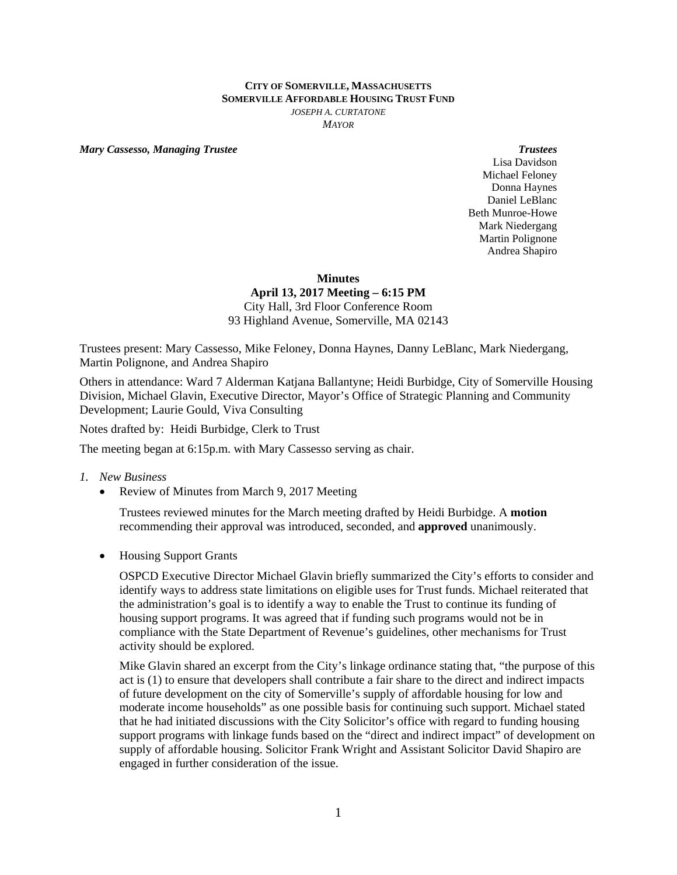## **CITY OF SOMERVILLE, MASSACHUSETTS SOMERVILLE AFFORDABLE HOUSING TRUST FUND** *JOSEPH A. CURTATONE MAYOR*

*Mary Cassesso, Managing Trustee* **Trustees Trustees Trustees Trustees** 

Lisa Davidson Michael Feloney Donna Haynes Daniel LeBlanc Beth Munroe-Howe Mark Niedergang Martin Polignone Andrea Shapiro

 **Minutes** 

**April 13, 2017 Meeting – 6:15 PM**  City Hall, 3rd Floor Conference Room 93 Highland Avenue, Somerville, MA 02143

Trustees present: Mary Cassesso, Mike Feloney, Donna Haynes, Danny LeBlanc, Mark Niedergang, Martin Polignone, and Andrea Shapiro

Others in attendance: Ward 7 Alderman Katjana Ballantyne; Heidi Burbidge, City of Somerville Housing Division, Michael Glavin, Executive Director, Mayor's Office of Strategic Planning and Community Development; Laurie Gould, Viva Consulting

Notes drafted by: Heidi Burbidge, Clerk to Trust

The meeting began at 6:15p.m. with Mary Cassesso serving as chair.

## *1. New Business*

• Review of Minutes from March 9, 2017 Meeting

Trustees reviewed minutes for the March meeting drafted by Heidi Burbidge. A **motion** recommending their approval was introduced, seconded, and **approved** unanimously.

• Housing Support Grants

OSPCD Executive Director Michael Glavin briefly summarized the City's efforts to consider and identify ways to address state limitations on eligible uses for Trust funds. Michael reiterated that the administration's goal is to identify a way to enable the Trust to continue its funding of housing support programs. It was agreed that if funding such programs would not be in compliance with the State Department of Revenue's guidelines, other mechanisms for Trust activity should be explored.

Mike Glavin shared an excerpt from the City's linkage ordinance stating that, "the purpose of this act is (1) to ensure that developers shall contribute a fair share to the direct and indirect impacts of future development on the city of Somerville's supply of affordable housing for low and moderate income households" as one possible basis for continuing such support. Michael stated that he had initiated discussions with the City Solicitor's office with regard to funding housing support programs with linkage funds based on the "direct and indirect impact" of development on supply of affordable housing. Solicitor Frank Wright and Assistant Solicitor David Shapiro are engaged in further consideration of the issue.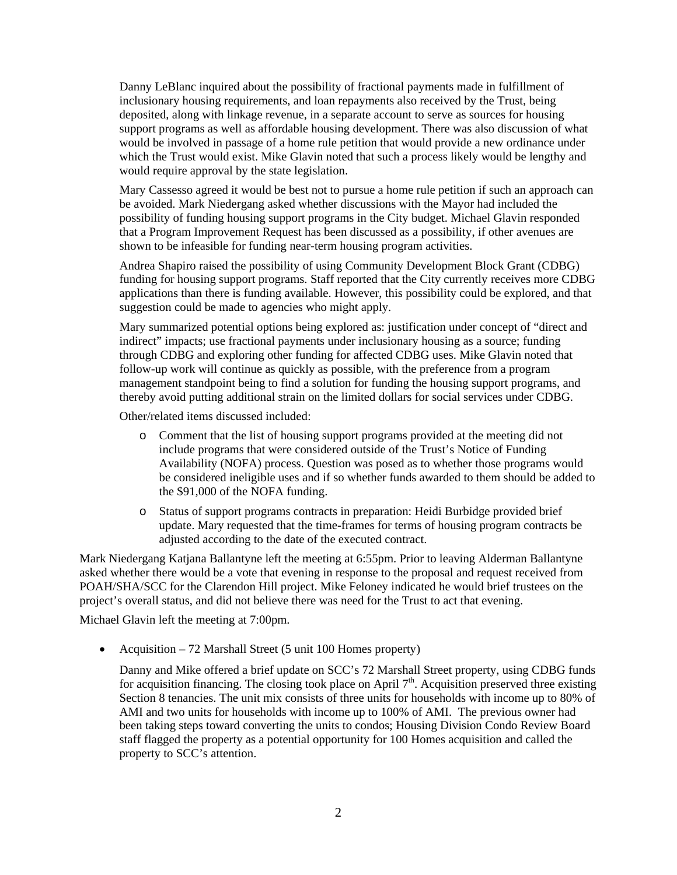Danny LeBlanc inquired about the possibility of fractional payments made in fulfillment of inclusionary housing requirements, and loan repayments also received by the Trust, being deposited, along with linkage revenue, in a separate account to serve as sources for housing support programs as well as affordable housing development. There was also discussion of what would be involved in passage of a home rule petition that would provide a new ordinance under which the Trust would exist. Mike Glavin noted that such a process likely would be lengthy and would require approval by the state legislation.

Mary Cassesso agreed it would be best not to pursue a home rule petition if such an approach can be avoided. Mark Niedergang asked whether discussions with the Mayor had included the possibility of funding housing support programs in the City budget. Michael Glavin responded that a Program Improvement Request has been discussed as a possibility, if other avenues are shown to be infeasible for funding near-term housing program activities.

Andrea Shapiro raised the possibility of using Community Development Block Grant (CDBG) funding for housing support programs. Staff reported that the City currently receives more CDBG applications than there is funding available. However, this possibility could be explored, and that suggestion could be made to agencies who might apply.

Mary summarized potential options being explored as: justification under concept of "direct and indirect" impacts; use fractional payments under inclusionary housing as a source; funding through CDBG and exploring other funding for affected CDBG uses. Mike Glavin noted that follow-up work will continue as quickly as possible, with the preference from a program management standpoint being to find a solution for funding the housing support programs, and thereby avoid putting additional strain on the limited dollars for social services under CDBG.

Other/related items discussed included:

- o Comment that the list of housing support programs provided at the meeting did not include programs that were considered outside of the Trust's Notice of Funding Availability (NOFA) process. Question was posed as to whether those programs would be considered ineligible uses and if so whether funds awarded to them should be added to the \$91,000 of the NOFA funding.
- o Status of support programs contracts in preparation: Heidi Burbidge provided brief update. Mary requested that the time-frames for terms of housing program contracts be adjusted according to the date of the executed contract.

Mark Niedergang Katjana Ballantyne left the meeting at 6:55pm. Prior to leaving Alderman Ballantyne asked whether there would be a vote that evening in response to the proposal and request received from POAH/SHA/SCC for the Clarendon Hill project. Mike Feloney indicated he would brief trustees on the project's overall status, and did not believe there was need for the Trust to act that evening.

Michael Glavin left the meeting at 7:00pm.

• Acquisition  $-72$  Marshall Street (5 unit 100 Homes property)

Danny and Mike offered a brief update on SCC's 72 Marshall Street property, using CDBG funds for acquisition financing. The closing took place on April  $7<sup>th</sup>$ . Acquisition preserved three existing Section 8 tenancies. The unit mix consists of three units for households with income up to 80% of AMI and two units for households with income up to 100% of AMI. The previous owner had been taking steps toward converting the units to condos; Housing Division Condo Review Board staff flagged the property as a potential opportunity for 100 Homes acquisition and called the property to SCC's attention.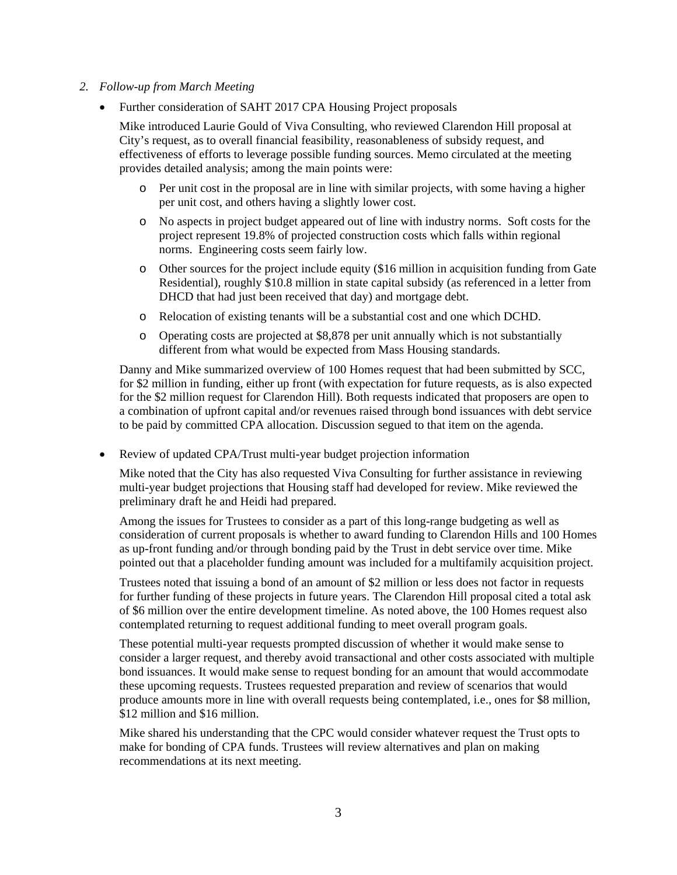## *2. Follow-up from March Meeting*

• Further consideration of SAHT 2017 CPA Housing Project proposals

Mike introduced Laurie Gould of Viva Consulting, who reviewed Clarendon Hill proposal at City's request, as to overall financial feasibility, reasonableness of subsidy request, and effectiveness of efforts to leverage possible funding sources. Memo circulated at the meeting provides detailed analysis; among the main points were:

- o Per unit cost in the proposal are in line with similar projects, with some having a higher per unit cost, and others having a slightly lower cost.
- o No aspects in project budget appeared out of line with industry norms. Soft costs for the project represent 19.8% of projected construction costs which falls within regional norms. Engineering costs seem fairly low.
- o Other sources for the project include equity (\$16 million in acquisition funding from Gate Residential), roughly \$10.8 million in state capital subsidy (as referenced in a letter from DHCD that had just been received that day) and mortgage debt.
- o Relocation of existing tenants will be a substantial cost and one which DCHD.
- o Operating costs are projected at \$8,878 per unit annually which is not substantially different from what would be expected from Mass Housing standards.

Danny and Mike summarized overview of 100 Homes request that had been submitted by SCC, for \$2 million in funding, either up front (with expectation for future requests, as is also expected for the \$2 million request for Clarendon Hill). Both requests indicated that proposers are open to a combination of upfront capital and/or revenues raised through bond issuances with debt service to be paid by committed CPA allocation. Discussion segued to that item on the agenda.

Review of updated CPA/Trust multi-year budget projection information

Mike noted that the City has also requested Viva Consulting for further assistance in reviewing multi-year budget projections that Housing staff had developed for review. Mike reviewed the preliminary draft he and Heidi had prepared.

Among the issues for Trustees to consider as a part of this long-range budgeting as well as consideration of current proposals is whether to award funding to Clarendon Hills and 100 Homes as up-front funding and/or through bonding paid by the Trust in debt service over time. Mike pointed out that a placeholder funding amount was included for a multifamily acquisition project.

Trustees noted that issuing a bond of an amount of \$2 million or less does not factor in requests for further funding of these projects in future years. The Clarendon Hill proposal cited a total ask of \$6 million over the entire development timeline. As noted above, the 100 Homes request also contemplated returning to request additional funding to meet overall program goals.

These potential multi-year requests prompted discussion of whether it would make sense to consider a larger request, and thereby avoid transactional and other costs associated with multiple bond issuances. It would make sense to request bonding for an amount that would accommodate these upcoming requests. Trustees requested preparation and review of scenarios that would produce amounts more in line with overall requests being contemplated, i.e., ones for \$8 million, \$12 million and \$16 million.

Mike shared his understanding that the CPC would consider whatever request the Trust opts to make for bonding of CPA funds. Trustees will review alternatives and plan on making recommendations at its next meeting.